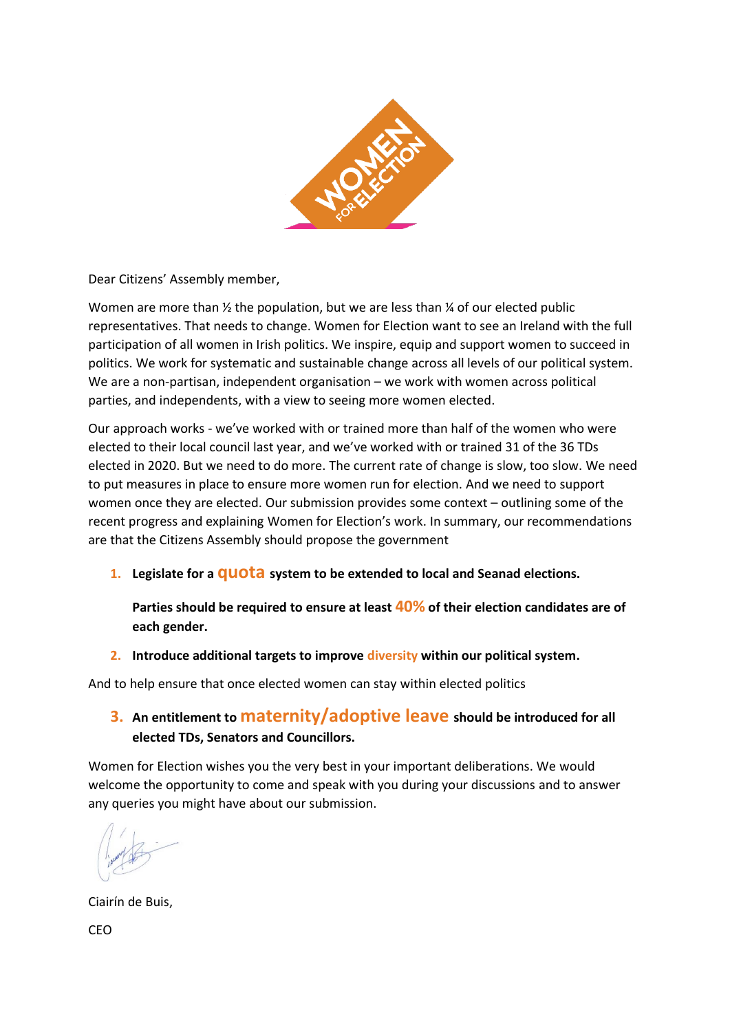

Dear Citizens' Assembly member,

Women are more than  $\frac{1}{2}$  the population, but we are less than  $\frac{1}{4}$  of our elected public representatives. That needs to change. Women for Election want to see an Ireland with the full participation of all women in Irish politics. We inspire, equip and support women to succeed in politics. We work for systematic and sustainable change across all levels of our political system. We are a non-partisan, independent organisation – we work with women across political parties, and independents, with a view to seeing more women elected.

Our approach works - we've worked with or trained more than half of the women who were elected to their local council last year, and we've worked with or trained 31 of the 36 TDs elected in 2020. But we need to do more. The current rate of change is slow, too slow. We need to put measures in place to ensure more women run for election. And we need to support women once they are elected. Our submission provides some context – outlining some of the recent progress and explaining Women for Election's work. In summary, our recommendations are that the Citizens Assembly should propose the government

**1. Legislate for a quota system to be extended to local and Seanad elections.** 

**Parties should be required to ensure at least 40% of their election candidates are of each gender.**

**2. Introduce additional targets to improve diversity within our political system.**

And to help ensure that once elected women can stay within elected politics

## **3. An entitlement to maternity/adoptive leave should be introduced for all elected TDs, Senators and Councillors.**

Women for Election wishes you the very best in your important deliberations. We would welcome the opportunity to come and speak with you during your discussions and to answer any queries you might have about our submission.

Ciairín de Buis,

CEO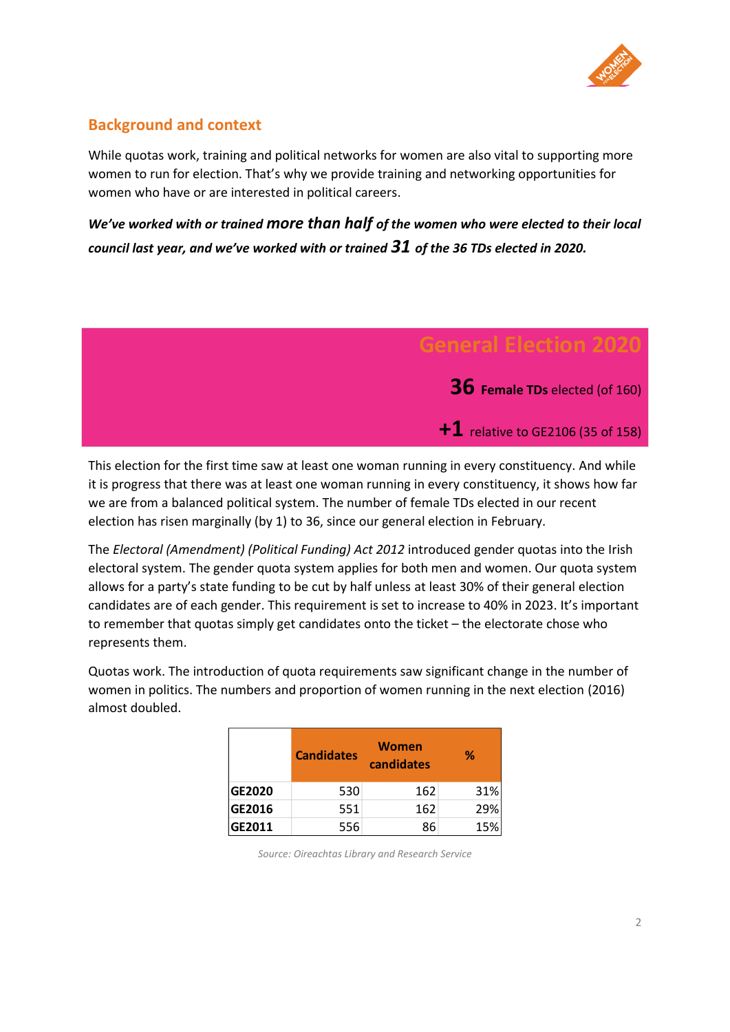

### **Background and context**

While quotas work, training and political networks for women are also vital to supporting more women to run for election. That's why we provide training and networking opportunities for women who have or are interested in political careers.

*We've worked with or trained more than half of the women who were elected to their local council last year, and we've worked with or trained 31 of the 36 TDs elected in 2020.*



This election for the first time saw at least one woman running in every constituency. And while it is progress that there was at least one woman running in every constituency, it shows how far we are from a balanced political system. The number of female TDs elected in our recent election has risen marginally (by 1) to 36, since our general election in February.

The *Electoral (Amendment) (Political Funding) Act 2012* introduced gender quotas into the Irish electoral system. The gender quota system applies for both men and women. Our quota system allows for a party's state funding to be cut by half unless at least 30% of their general election candidates are of each gender. This requirement is set to increase to 40% in 2023. It's important to remember that quotas simply get candidates onto the ticket – the electorate chose who represents them.

Quotas work. The introduction of quota requirements saw significant change in the number of women in politics. The numbers and proportion of women running in the next election (2016) almost doubled.

|        | <b>Candidates</b> | Women<br>candidates | ℅   |
|--------|-------------------|---------------------|-----|
| GE2020 | 530               | 162                 | 31% |
| GE2016 | 551               | 162                 | 29% |
| GE2011 | 556               | 86                  | 15% |

*Source: Oireachtas Library and Research Service*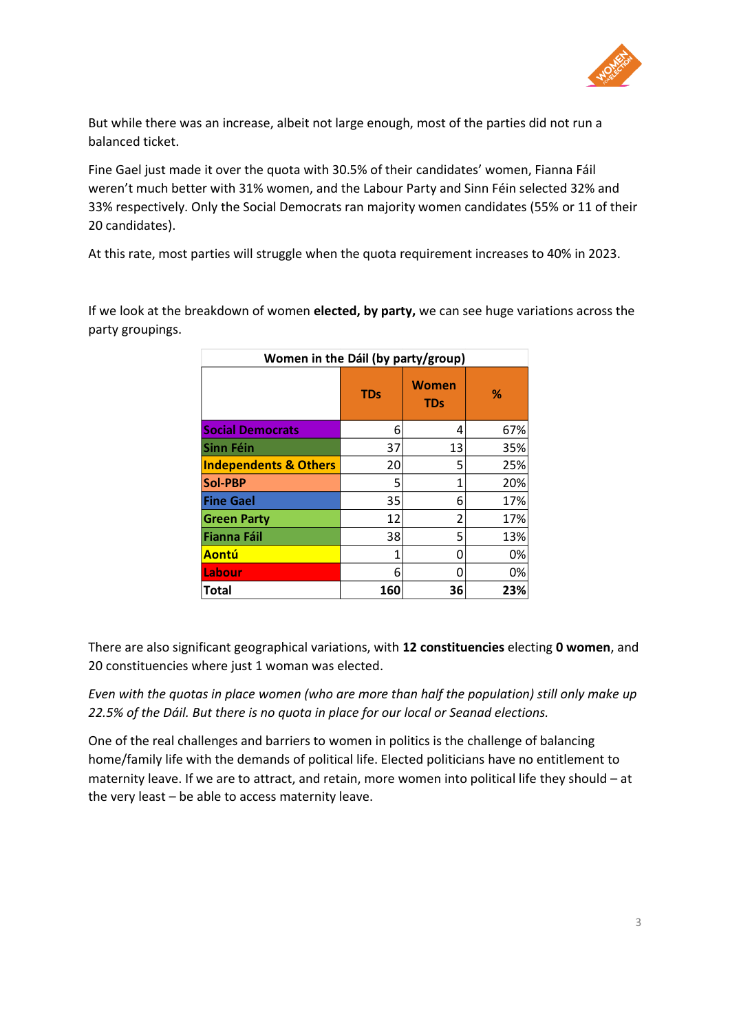

But while there was an increase, albeit not large enough, most of the parties did not run a balanced ticket.

Fine Gael just made it over the quota with 30.5% of their candidates' women, Fianna Fáil weren't much better with 31% women, and the Labour Party and Sinn Féin selected 32% and 33% respectively. Only the Social Democrats ran majority women candidates (55% or 11 of their 20 candidates).

At this rate, most parties will struggle when the quota requirement increases to 40% in 2023.

If we look at the breakdown of women **elected, by party,** we can see huge variations across the party groupings.

| Women in the Dáil (by party/group) |            |                     |     |  |  |
|------------------------------------|------------|---------------------|-----|--|--|
|                                    | <b>TDs</b> | Women<br><b>TDs</b> | %   |  |  |
| <b>Social Democrats</b>            | 6          | 4                   | 67% |  |  |
| Sinn Féin                          | 37         | 13                  | 35% |  |  |
| <b>Independents &amp; Others</b>   | 20         | 5                   | 25% |  |  |
| <b>Sol-PBP</b>                     | 5          | 1                   | 20% |  |  |
| <b>Fine Gael</b>                   | 35         | 6                   | 17% |  |  |
| <b>Green Party</b>                 | 12         | 2                   | 17% |  |  |
| Fianna Fáil                        | 38         | 5                   | 13% |  |  |
| Aontú                              | 1          | N                   | 0%  |  |  |
| Labour                             | 6          |                     | 0%  |  |  |
| <b>Total</b>                       | 160        | 36                  | 23% |  |  |

There are also significant geographical variations, with **12 constituencies** electing **0 women**, and 20 constituencies where just 1 woman was elected.

*Even with the quotas in place women (who are more than half the population) still only make up 22.5% of the Dáil. But there is no quota in place for our local or Seanad elections.*

One of the real challenges and barriers to women in politics is the challenge of balancing home/family life with the demands of political life. Elected politicians have no entitlement to maternity leave. If we are to attract, and retain, more women into political life they should – at the very least – be able to access maternity leave.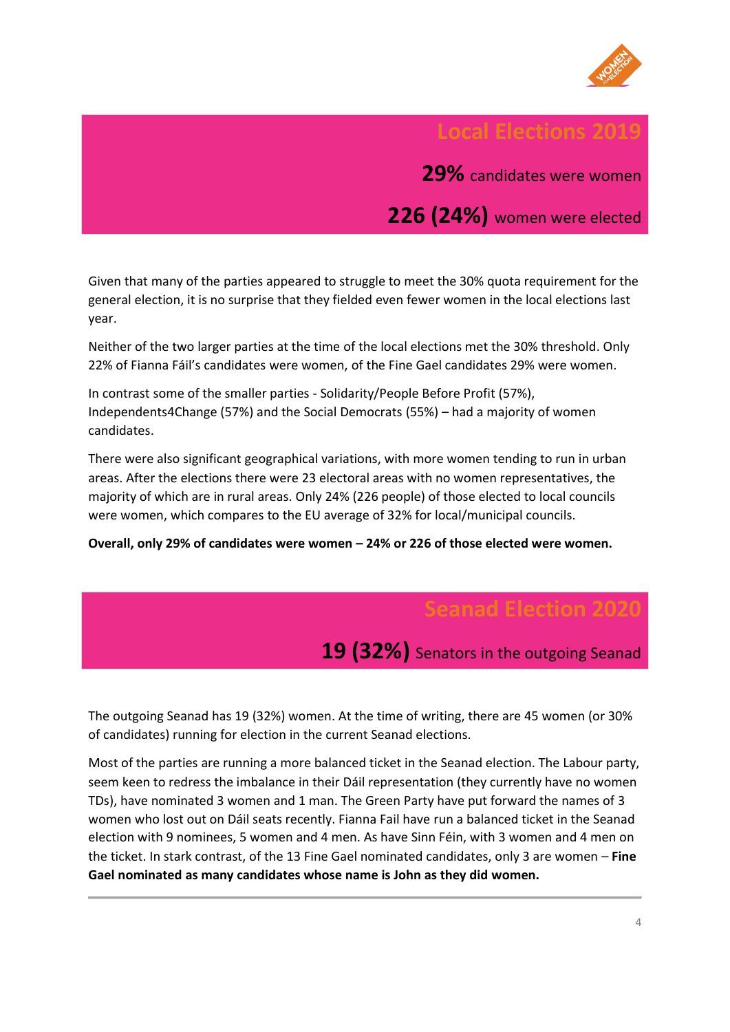

### **Local Elections 201**

**29%** candidates were women

**226 (24%)** women were elected

Given that many of the parties appeared to struggle to meet the 30% quota requirement for the general election, it is no surprise that they fielded even fewer women in the local elections last year.

Neither of the two larger parties at the time of the local elections met the 30% threshold. Only 22% of Fianna Fáil's candidates were women, of the Fine Gael candidates 29% were women.

In contrast some of the smaller parties - Solidarity/People Before Profit (57%), Independents4Change (57%) and the Social Democrats (55%) – had a majority of women candidates.

There were also significant geographical variations, with more women tending to run in urban areas. After the elections there were 23 electoral areas with no women representatives, the majority of which are in rural areas. Only 24% (226 people) of those elected to local councils were women, which compares to the EU average of 32% for local/municipal councils.

**Overall, only 29% of candidates were women – 24% or 226 of those elected were women.**

**19 (32%)** Senators in the outgoing Seanad

The outgoing Seanad has 19 (32%) women. At the time of writing, there are 45 women (or 30% of candidates) running for election in the current Seanad elections.

Most of the parties are running a more balanced ticket in the Seanad election. The Labour party, seem keen to redress the imbalance in their Dáil representation (they currently have no women TDs), have nominated 3 women and 1 man. The Green Party have put forward the names of 3 women who lost out on Dáil seats recently. Fianna Fail have run a balanced ticket in the Seanad election with 9 nominees, 5 women and 4 men. As have Sinn Féin, with 3 women and 4 men on the ticket. In stark contrast, of the 13 Fine Gael nominated candidates, only 3 are women – **Fine Gael nominated as many candidates whose name is John as they did women.**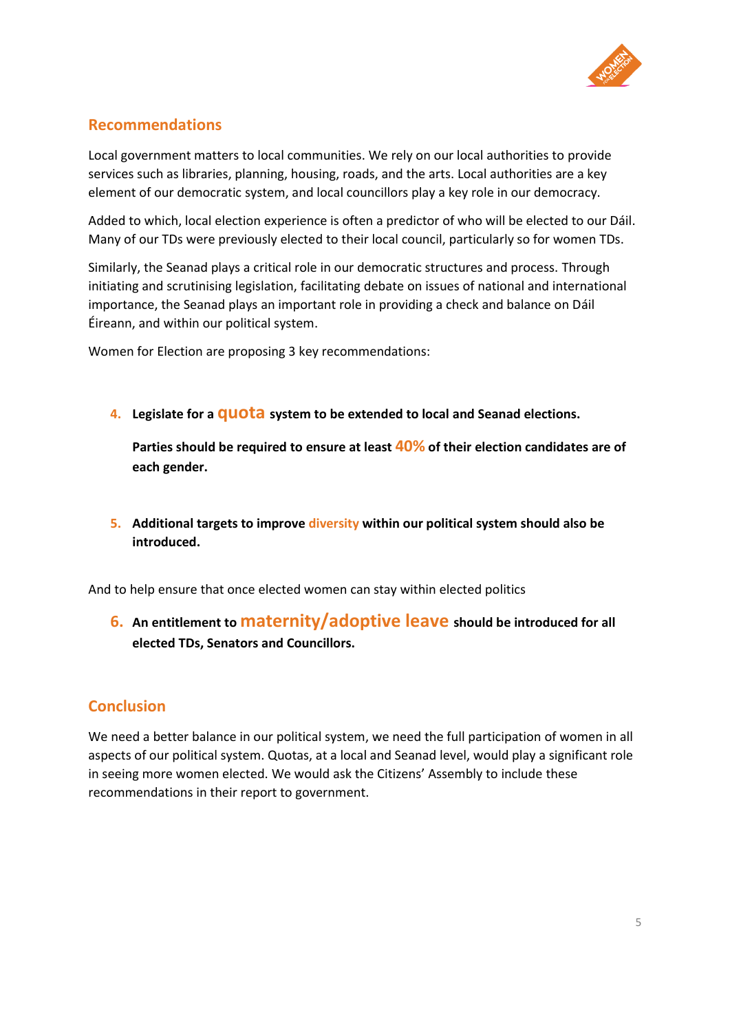

### **Recommendations**

Local government matters to local communities. We rely on our local authorities to provide services such as libraries, planning, housing, roads, and the arts. Local authorities are a key element of our democratic system, and local councillors play a key role in our democracy.

Added to which, local election experience is often a predictor of who will be elected to our Dáil. Many of our TDs were previously elected to their local council, particularly so for women TDs.

Similarly, the Seanad plays a critical role in our democratic structures and process. Through initiating and scrutinising legislation, facilitating debate on issues of national and international importance, the Seanad plays an important role in providing a check and balance on Dáil Éireann, and within our political system.

Women for Election are proposing 3 key recommendations:

**4. Legislate for a quota system to be extended to local and Seanad elections.** 

**Parties should be required to ensure at least 40% of their election candidates are of each gender.**

**5. Additional targets to improve diversity within our political system should also be introduced.**

And to help ensure that once elected women can stay within elected politics

**6. An entitlement to maternity/adoptive leave should be introduced for all elected TDs, Senators and Councillors.**

## **Conclusion**

We need a better balance in our political system, we need the full participation of women in all aspects of our political system. Quotas, at a local and Seanad level, would play a significant role in seeing more women elected. We would ask the Citizens' Assembly to include these recommendations in their report to government.